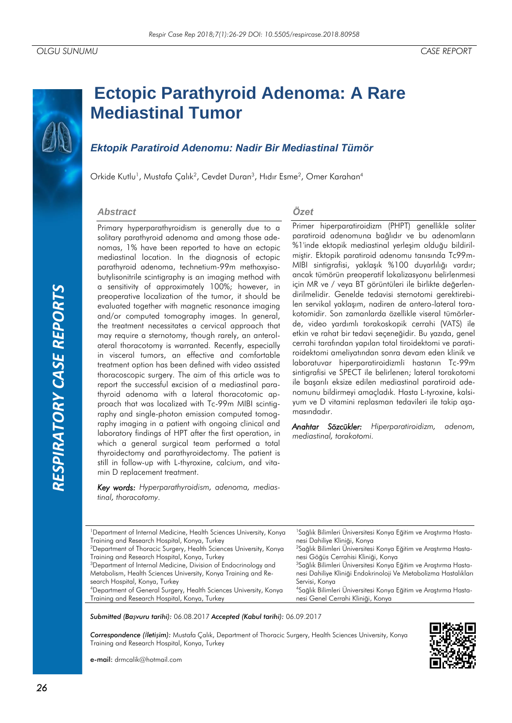# *RESPIRATORY CASE REPORTS*RESPIRATORY CASE REPORTS

# **Ectopic Parathyroid Adenoma: A Rare Mediastinal Tumor**

## *Ektopik Paratiroid Adenomu: Nadir Bir Mediastinal Tümör*

Orkide Kutlu<sup>1</sup>, Mustafa Çalık<sup>2</sup>, Cevdet Duran<sup>3</sup>, Hıdır Esme<sup>2</sup>, Omer Karahan<sup>4</sup>

### *Abstract*

Primary hyperparathyroidism is generally due to a solitary parathyroid adenoma and among those adenomas, 1% have been reported to have an ectopic mediastinal location. In the diagnosis of ectopic parathyroid adenoma, technetium-99m methoxyisobutylisonitrile scintigraphy is an imaging method with a sensitivity of approximately 100%; however, in preoperative localization of the tumor, it should be evaluated together with magnetic resonance imaging and/or computed tomography images. In general, the treatment necessitates a cervical approach that may require a sternotomy, though rarely, an anterolateral thoracotomy is warranted. Recently, especially in visceral tumors, an effective and comfortable treatment option has been defined with video assisted thoracoscopic surgery. The aim of this article was to report the successful excision of a mediastinal parathyroid adenoma with a lateral thoracotomic approach that was localized with Tc-99m MIBI scintigraphy and single-photon emission computed tomography imaging in a patient with ongoing clinical and laboratory findings of HPT after the first operation, in which a general surgical team performed a total thyroidectomy and parathyroidectomy. The patient is still in follow-up with L-thyroxine, calcium, and vitamin D replacement treatment.

*Key words: Hyperparathyroidism, adenoma, mediastinal, thoracotomy.*

### *Özet*

Primer hiperparatiroidizm (PHPT) genellikle soliter paratiroid adenomuna bağlıdır ve bu adenomların %1'inde ektopik mediastinal yerleşim olduğu bildirilmiştir. Ektopik paratiroid adenomu tanısında Tc99m-MIBI sintigrafisi, yaklaşık %100 duyarlılığı vardır; ancak tümörün preoperatif lokalizasyonu belirlenmesi için MR ve / veya BT görüntüleri ile birlikte değerlendirilmelidir. Genelde tedavisi sternotomi gerektirebilen servikal yaklaşım, nadiren de antero-lateral torakotomidir. Son zamanlarda özellikle viseral tümörlerde, video yardımlı torakoskopik cerrahi (VATS) ile etkin ve rahat bir tedavi seçeneğidir. Bu yazıda, genel cerrahi tarafından yapılan total tiroidektomi ve paratiroidektomi ameliyatından sonra devam eden klinik ve laboratuvar hiperparatiroidizmli hastanın Tc-99m sintigrafisi ve SPECT ile belirlenen; lateral torakotomi ile başarılı eksize edilen mediastinal paratiroid adenomunu bildirmeyi amaçladık. Hasta L-tyroxine, kalsiyum ve D vitamini replasman tedavileri ile takip aşamasındadır.

*Anahtar Sözcükler: Hiperparatiroidizm, adenom, mediastinal, torakotomi.*

| <sup>1</sup> Department of Internal Medicine, Health Sciences University, Konya | <sup>1</sup> Sağlık Bilimleri Üniversitesi Konya Eğitim ve Araştırma Hasta- |
|---------------------------------------------------------------------------------|-----------------------------------------------------------------------------|
| Training and Research Hospital, Konya, Turkey                                   | nesi Dahiliye Kliniği, Konya                                                |
| <sup>2</sup> Department of Thoracic Surgery, Health Sciences University, Konya  | <sup>2</sup> Sağlık Bilimleri Üniversitesi Konya Eğitim ve Araştırma Hasta- |
| Training and Research Hospital, Konya, Turkey                                   | nesi Göğüs Cerrahisi Kliniği, Konya                                         |
| <sup>3</sup> Department of Internal Medicine, Division of Endocrinology and     | <sup>3</sup> Sağlık Bilimleri Üniversitesi Konya Eğitim ve Araştırma Hasta- |
| Metabolism, Health Sciences University, Konya Training and Re-                  | nesi Dahiliye Kliniği Endokrinoloji Ve Metabolizma Hastalıkları             |
| search Hospital, Konya, Turkey                                                  | Servisi, Konya                                                              |
| <sup>4</sup> Department of General Surgery, Health Sciences University, Konya   | <sup>4</sup> Sağlık Bilimleri Üniversitesi Konya Eğitim ve Araştırma Hasta- |
| Training and Research Hospital, Konya, Turkey                                   | nesi Genel Cerrahi Kliniği, Konya                                           |

*Submitted (Başvuru tarihi):* 06.08.2017 *Accepted (Kabul tarihi):* 06.09.2017

*Correspondence (İletişim):* Mustafa Çalık, Department of Thoracic Surgery, Health Sciences University, Konya Training and Research Hospital, Konya, Turkey

e-mail: drmcalik@hotmail.com

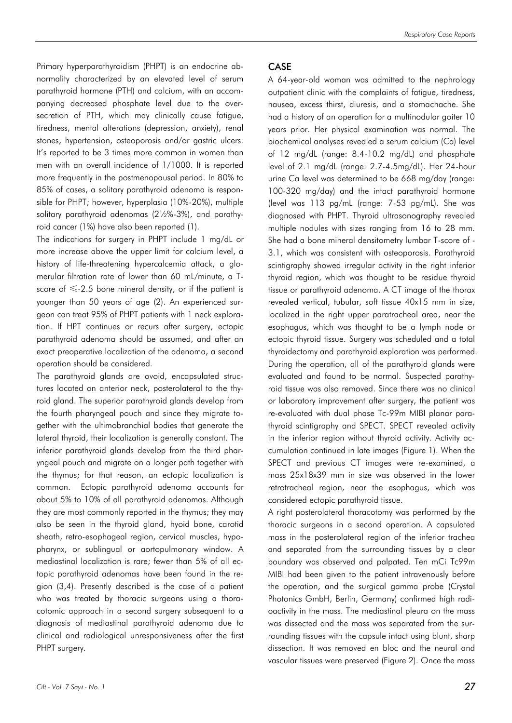Primary hyperparathyroidism (PHPT) is an endocrine abnormality characterized by an elevated level of serum parathyroid hormone (PTH) and calcium, with an accompanying decreased phosphate level due to the oversecretion of PTH, which may clinically cause fatigue, tiredness, mental alterations (depression, anxiety), renal stones, hypertension, osteoporosis and/or gastric ulcers. It's reported to be 3 times more common in women than men with an overall incidence of 1/1000. It is reported more frequently in the postmenopausal period. In 80% to 85% of cases, a solitary parathyroid adenoma is responsible for PHPT; however, hyperplasia (10%-20%), multiple solitary parathyroid adenomas (2½%-3%), and parathyroid cancer (1%) have also been reported (1).

The indications for surgery in PHPT include 1 mg/dL or more increase above the upper limit for calcium level, a history of life-threatening hypercalcemia attack, a glomerular filtration rate of lower than 60 mL/minute, a Tscore of  $\leq$  -2.5 bone mineral density, or if the patient is younger than 50 years of age (2). An experienced surgeon can treat 95% of PHPT patients with 1 neck exploration. If HPT continues or recurs after surgery, ectopic parathyroid adenoma should be assumed, and after an exact preoperative localization of the adenoma, a second operation should be considered.

The parathyroid glands are ovoid, encapsulated structures located on anterior neck, posterolateral to the thyroid gland. The superior parathyroid glands develop from the fourth pharyngeal pouch and since they migrate together with the ultimobranchial bodies that generate the lateral thyroid, their localization is generally constant. The inferior parathyroid glands develop from the third pharyngeal pouch and migrate on a longer path together with the thymus; for that reason, an ectopic localization is common. Ectopic parathyroid adenoma accounts for about 5% to 10% of all parathyroid adenomas. Although they are most commonly reported in the thymus; they may also be seen in the thyroid gland, hyoid bone, carotid sheath, retro-esophageal region, cervical muscles, hypopharynx, or sublingual or aortopulmonary window. A mediastinal localization is rare; fewer than 5% of all ectopic parathyroid adenomas have been found in the region (3,4). Presently described is the case of a patient who was treated by thoracic surgeons using a thoracotomic approach in a second surgery subsequent to a diagnosis of mediastinal parathyroid adenoma due to clinical and radiological unresponsiveness after the first PHPT surgery.

### CASE

A 64-year-old woman was admitted to the nephrology outpatient clinic with the complaints of fatigue, tiredness, nausea, excess thirst, diuresis, and a stomachache. She had a history of an operation for a multinodular goiter 10 years prior. Her physical examination was normal. The biochemical analyses revealed a serum calcium (Ca) level of 12 mg/dL (range: 8.4-10.2 mg/dL) and phosphate level of 2.1 mg/dL (range: 2.7-4.5mg/dL). Her 24-hour urine Ca level was determined to be 668 mg/day (range: 100-320 mg/day) and the intact parathyroid hormone (level was 113 pg/mL (range: 7-53 pg/mL). She was diagnosed with PHPT. Thyroid ultrasonography revealed multiple nodules with sizes ranging from 16 to 28 mm. She had a bone mineral densitometry lumbar T-score of - 3.1, which was consistent with osteoporosis. Parathyroid scintigraphy showed irregular activity in the right inferior thyroid region, which was thought to be residue thyroid tissue or parathyroid adenoma. A CT image of the thorax revealed vertical, tubular, soft tissue 40x15 mm in size, localized in the right upper paratracheal area, near the esophagus, which was thought to be a lymph node or ectopic thyroid tissue. Surgery was scheduled and a total thyroidectomy and parathyroid exploration was performed. During the operation, all of the parathyroid glands were evaluated and found to be normal. Suspected parathyroid tissue was also removed. Since there was no clinical or laboratory improvement after surgery, the patient was re-evaluated with dual phase Tc-99m MIBI planar parathyroid scintigraphy and SPECT. SPECT revealed activity in the inferior region without thyroid activity. Activity accumulation continued in late images (Figure 1). When the SPECT and previous CT images were re-examined, a mass 25x18x39 mm in size was observed in the lower retrotracheal region, near the esophagus, which was considered ectopic parathyroid tissue.

A right posterolateral thoracotomy was performed by the thoracic surgeons in a second operation. A capsulated mass in the posterolateral region of the inferior trachea and separated from the surrounding tissues by a clear boundary was observed and palpated. Ten mCi Tc99m MIBI had been given to the patient intravenously before the operation, and the surgical gamma probe (Crystal Photonics GmbH, Berlin, Germany) confirmed high radioactivity in the mass. The mediastinal pleura on the mass was dissected and the mass was separated from the surrounding tissues with the capsule intact using blunt, sharp dissection. It was removed en bloc and the neural and vascular tissues were preserved (Figure 2). Once the mass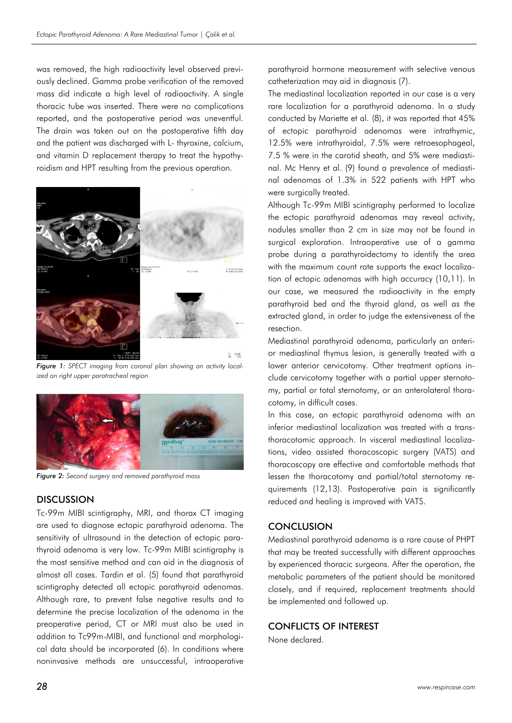was removed, the high radioactivity level observed previously declined. Gamma probe verification of the removed mass did indicate a high level of radioactivity. A single thoracic tube was inserted. There were no complications reported, and the postoperative period was uneventful. The drain was taken out on the postoperative fifth day and the patient was discharged with L- thyroxine, calcium, and vitamin D replacement therapy to treat the hypothyroidism and HPT resulting from the previous operation.



*Figure 1: SPECT imaging from coronal plan showing an activity localized on right upper paratracheal region*



*Figure 2: Second surgery and removed parathyroid mass*

### DISCUSSION

Tc-99m MIBI scintigraphy, MRI, and thorax CT imaging are used to diagnose ectopic parathyroid adenoma. The sensitivity of ultrasound in the detection of ectopic parathyroid adenoma is very low. Tc-99m MIBI scintigraphy is the most sensitive method and can aid in the diagnosis of almost all cases. Tardin et al. (5) found that parathyroid scintigraphy detected all ectopic parathyroid adenomas. Although rare, to prevent false negative results and to determine the precise localization of the adenoma in the preoperative period, CT or MRI must also be used in addition to Tc99m-MIBI, and functional and morphological data should be incorporated (6). In conditions where noninvasive methods are unsuccessful, intraoperative

parathyroid hormone measurement with selective venous catheterization may aid in diagnosis (7).

The mediastinal localization reported in our case is a very rare localization for a parathyroid adenoma. In a study conducted by Mariette et al. (8), it was reported that 45% of ectopic parathyroid adenomas were intrathymic, 12.5% were intrathyroidal, 7.5% were retroesophageal, 7.5 % were in the carotid sheath, and 5% were mediastinal. Mc Henry et al. (9) found a prevalence of mediastinal adenomas of 1.3% in 522 patients with HPT who were surgically treated.

Although Tc-99m MIBI scintigraphy performed to localize the ectopic parathyroid adenomas may reveal activity, nodules smaller than 2 cm in size may not be found in surgical exploration. Intraoperative use of a gamma probe during a parathyroidectomy to identify the area with the maximum count rate supports the exact localization of ectopic adenomas with high accuracy (10,11). In our case, we measured the radioactivity in the empty parathyroid bed and the thyroid gland, as well as the extracted gland, in order to judge the extensiveness of the resection.

Mediastinal parathyroid adenoma, particularly an anterior mediastinal thymus lesion, is generally treated with a lower anterior cervicotomy. Other treatment options include cervicotomy together with a partial upper sternotomy, partial or total sternotomy, or an anterolateral thoracotomy, in difficult cases.

In this case, an ectopic parathyroid adenoma with an inferior mediastinal localization was treated with a transthoracotomic approach. In visceral mediastinal localizations, video assisted thoracoscopic surgery (VATS) and thoracoscopy are effective and comfortable methods that lessen the thoracotomy and partial/total sternotomy requirements (12,13). Postoperative pain is significantly reduced and healing is improved with VATS.

### **CONCLUSION**

Mediastinal parathyroid adenoma is a rare cause of PHPT that may be treated successfully with different approaches by experienced thoracic surgeons. After the operation, the metabolic parameters of the patient should be monitored closely, and if required, replacement treatments should be implemented and followed up.

### CONFLICTS OF INTEREST

None declared.